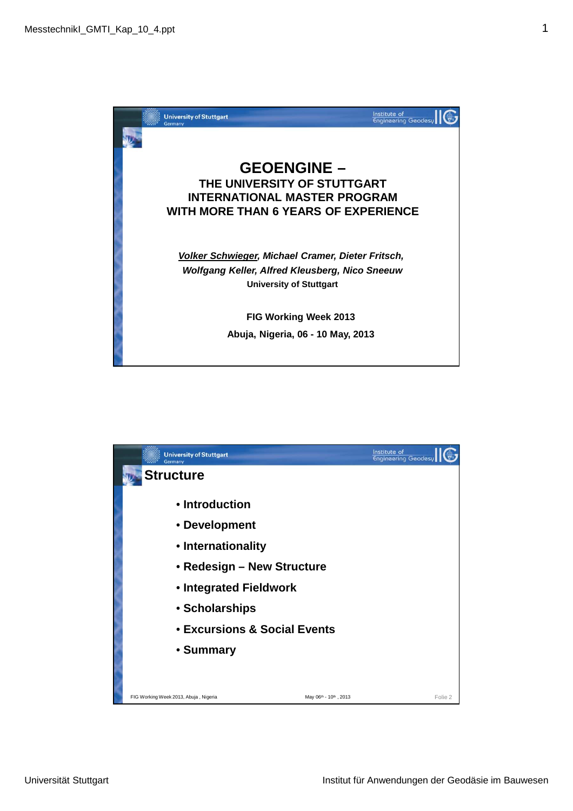

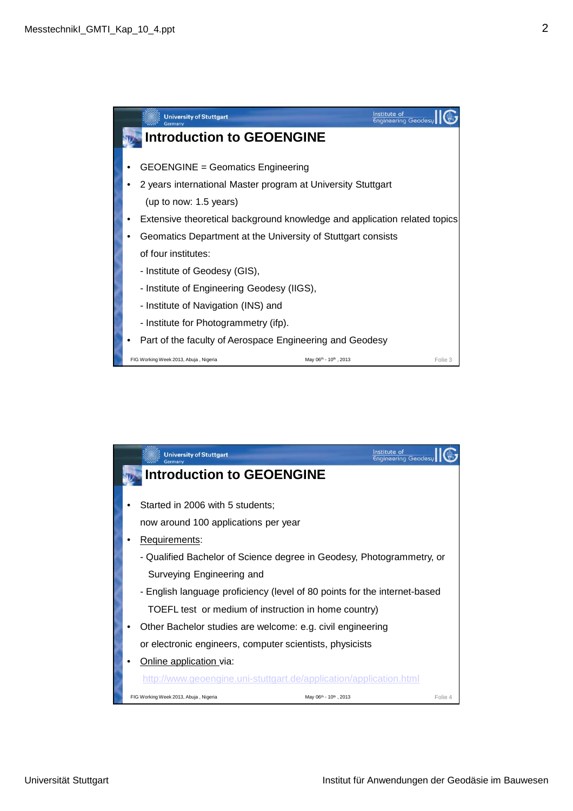

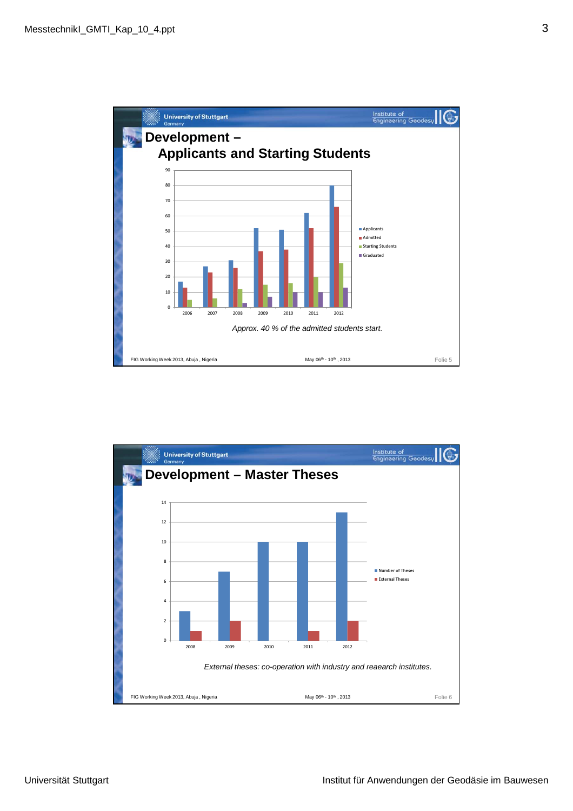

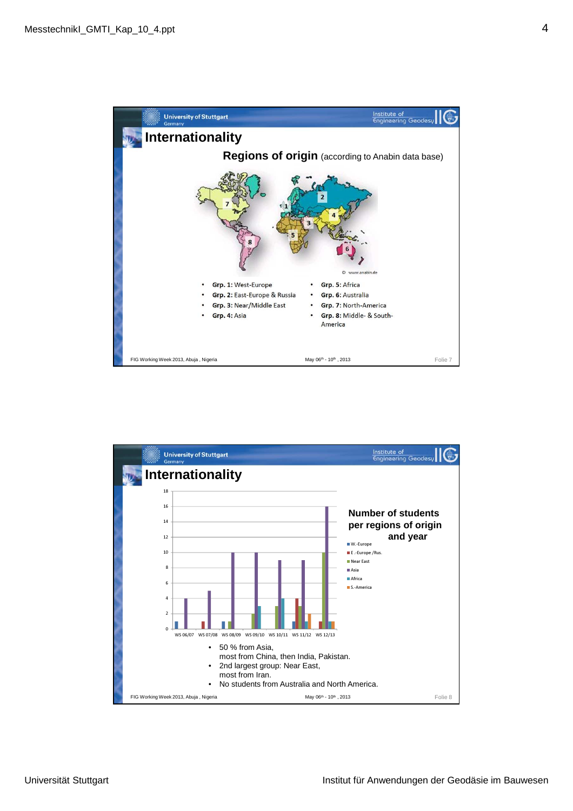

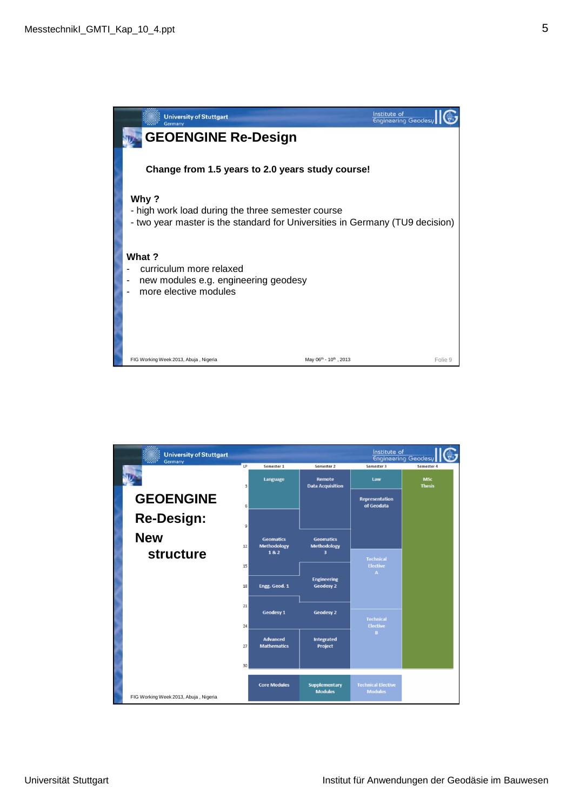

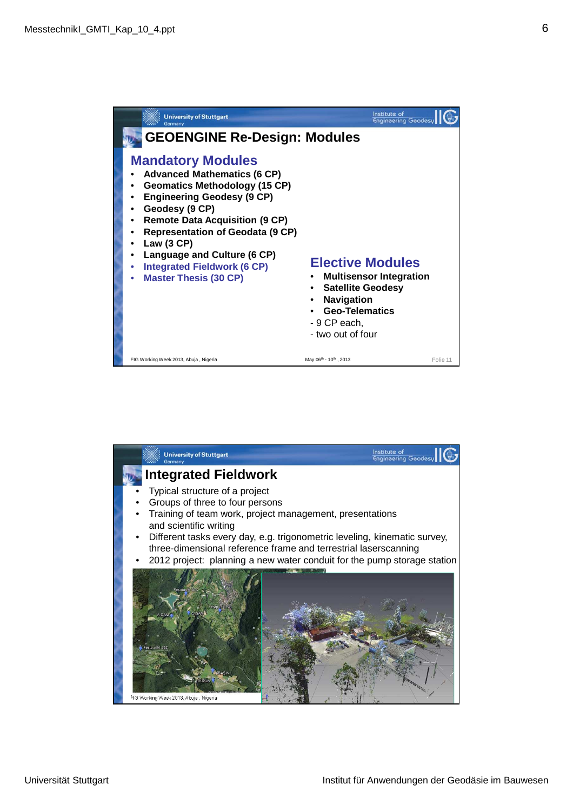

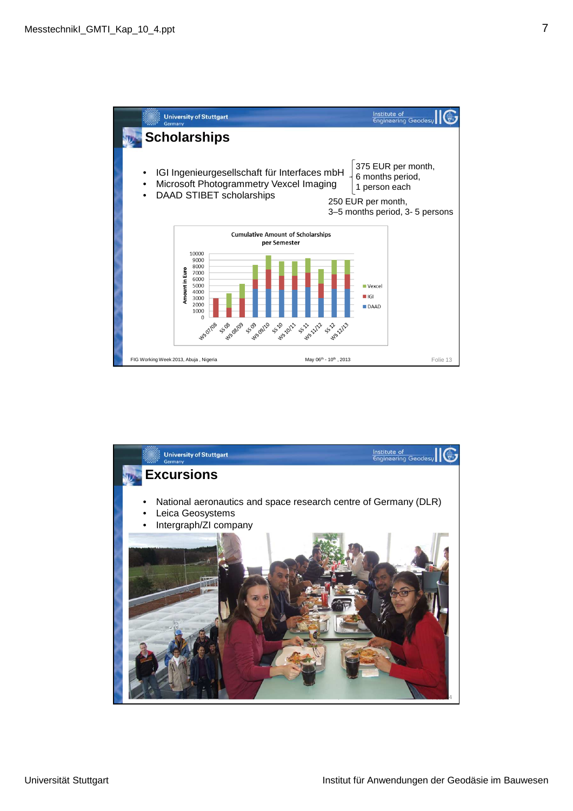

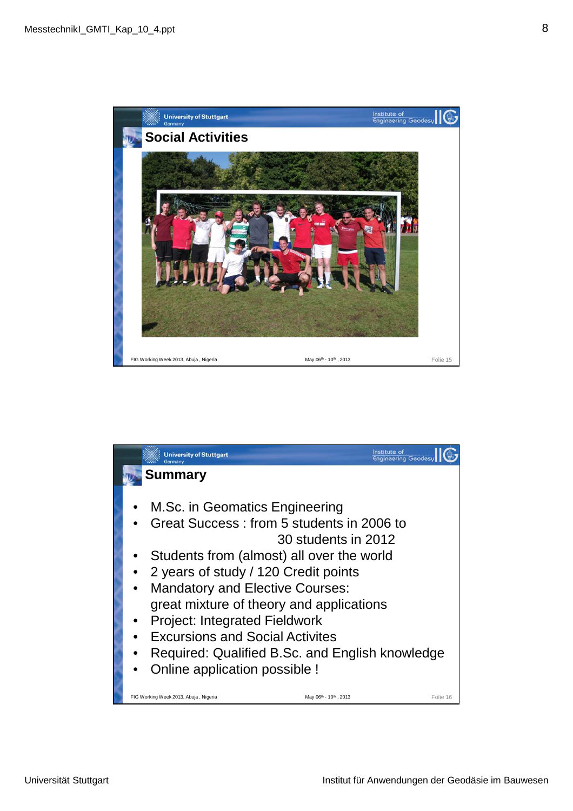